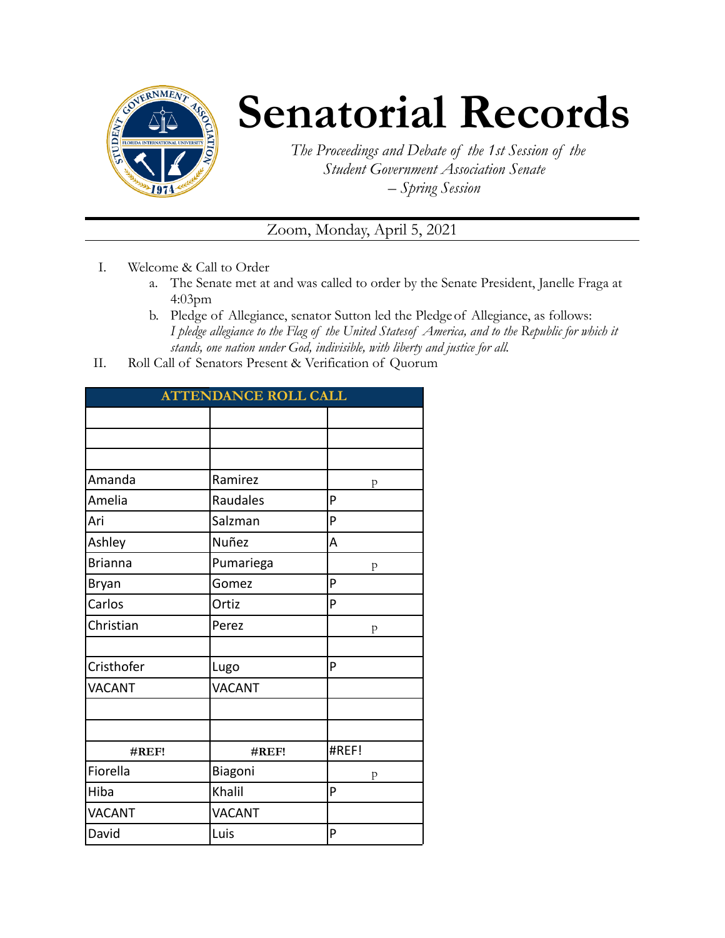

## **Senatorial Records**

*The Proceedings and Debate of the 1st Session of the Student Government Association Senate – Spring Session*

## Zoom, Monday, April 5, 2021

- I. Welcome & Call to Order
	- a. The Senate met at and was called to order by the Senate President, Janelle Fraga at 4:03pm
	- b. Pledge of Allegiance, senator Sutton led the Pledgeof Allegiance, as follows: *I pledge allegiance to the Flag of the United Statesof America, and to the Republic for which it stands, one nation under God, indivisible, with liberty and justice for all.*
- II. Roll Call of Senators Present & Verification of Quorum

| <b>ATTENDANCE ROLL CALL</b> |               |       |  |  |
|-----------------------------|---------------|-------|--|--|
|                             |               |       |  |  |
|                             |               |       |  |  |
|                             |               |       |  |  |
| Amanda                      | Ramirez       | p     |  |  |
| Amelia                      | Raudales      | P     |  |  |
| Ari                         | Salzman       | P     |  |  |
| Ashley                      | Nuñez         | A     |  |  |
| <b>Brianna</b>              | Pumariega     | p     |  |  |
| <b>Bryan</b>                | Gomez         | P     |  |  |
| Carlos                      | Ortiz         | P     |  |  |
| Christian                   | Perez         | p     |  |  |
|                             |               |       |  |  |
| Cristhofer                  | Lugo          | P     |  |  |
| <b>VACANT</b>               | <b>VACANT</b> |       |  |  |
|                             |               |       |  |  |
|                             |               |       |  |  |
| #REF!                       | #REF!         | #REF! |  |  |
| Fiorella                    | Biagoni       | p     |  |  |
| Hiba                        | Khalil        | P     |  |  |
| <b>VACANT</b>               | <b>VACANT</b> |       |  |  |
| David                       | Luis          | P     |  |  |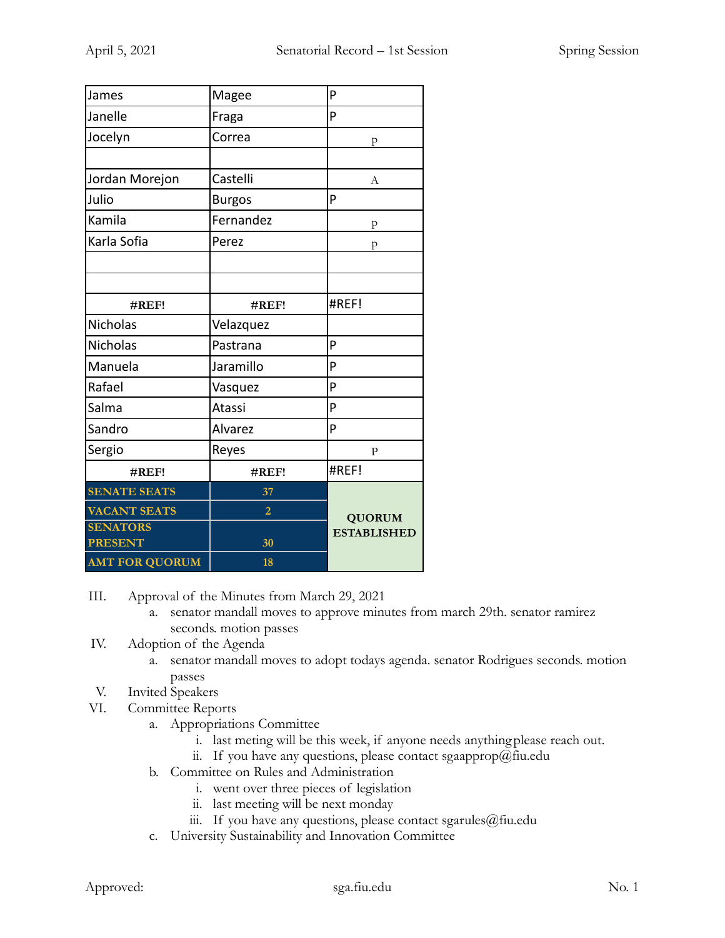| James                             | Magee          | P                  |
|-----------------------------------|----------------|--------------------|
| Janelle                           | Fraga          | P                  |
| Jocelyn                           | Correa         | p                  |
|                                   |                |                    |
| Jordan Morejon                    | Castelli       | А                  |
| Julio                             | <b>Burgos</b>  | P                  |
| Kamila                            | Fernandez      | p                  |
| Karla Sofia                       | Perez          | p                  |
|                                   |                |                    |
|                                   |                |                    |
| #REF!                             | #REF!          | #REF!              |
| <b>Nicholas</b>                   | Velazquez      |                    |
| <b>Nicholas</b>                   | Pastrana       | P                  |
| Manuela                           | Jaramillo      | P                  |
| Rafael                            | Vasquez        | P                  |
| Salma                             | Atassi         | P                  |
| Sandro                            | Alvarez        | P                  |
| Sergio                            | Reyes          | $\mathbf{P}$       |
| #REF!                             | #REF!          | #REF!              |
| <b>SENATE SEATS</b>               | 37             |                    |
| <b>VACANT SEATS</b>               | $\overline{2}$ | <b>QUORUM</b>      |
| <b>SENATORS</b><br><b>PRESENT</b> | 30             | <b>ESTABLISHED</b> |
| <b>AMT FOR QUORUM</b>             | 18             |                    |

III. Approval of the Minutes from March 29, 2021

- a. senator mandall moves to approve minutes from march 29th. senator ramirez seconds. motion passes
- IV. Adoption of the Agenda
	- a. senator mandall moves to adopt todays agenda. senator Rodrigues seconds. motion passes
- V. Invited Speakers
- VI. Committee Reports
	- a. Appropriations Committee
		- i. last meting will be this week, if anyone needs anythingplease reach out.
		- ii. If you have any questions, please contact sgaapprop@fiu.edu
	- b. Committee on Rules and Administration
		- i. went over three pieces of legislation
		- ii. last meeting will be next monday
		- iii. If you have any questions, please contact sgarules@fiu.edu
	- c. University Sustainability and Innovation Committee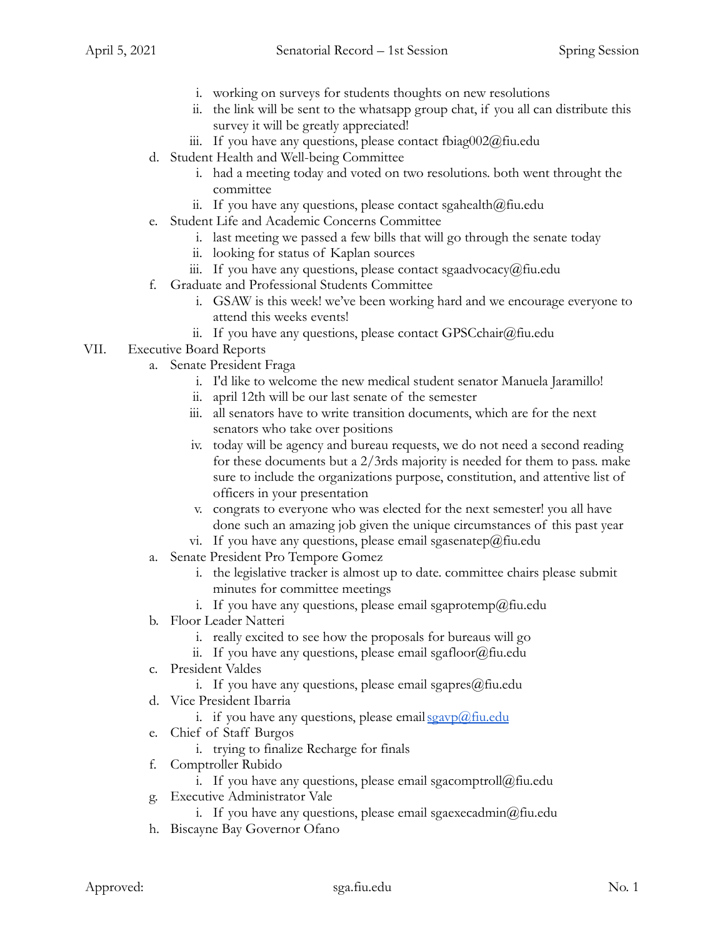- i. working on surveys for students thoughts on new resolutions
- ii. the link will be sent to the whatsapp group chat, if you all can distribute this survey it will be greatly appreciated!
- iii. If you have any questions, please contact fbiag002@fiu.edu
- d. Student Health and Well-being Committee
	- i. had a meeting today and voted on two resolutions. both went throught the committee
	- ii. If you have any questions, please contact sgahealth $@$ fiu.edu
- e. Student Life and Academic Concerns Committee
	- i. last meeting we passed a few bills that will go through the senate today
	- ii. looking for status of Kaplan sources
	- iii. If you have any questions, please contact sgaadvocacy@fiu.edu
- f. Graduate and Professional Students Committee
	- i. GSAW is this week! we've been working hard and we encourage everyone to attend this weeks events!
	- ii. If you have any questions, please contact GPSCchair@fiu.edu

## VII. Executive Board Reports

- a. Senate President Fraga
	- i. I'd like to welcome the new medical student senator Manuela Jaramillo!
	- ii. april 12th will be our last senate of the semester
	- iii. all senators have to write transition documents, which are for the next senators who take over positions
	- iv. today will be agency and bureau requests, we do not need a second reading for these documents but a 2/3rds majority is needed for them to pass. make sure to include the organizations purpose, constitution, and attentive list of officers in your presentation
	- v. congrats to everyone who was elected for the next semester! you all have done such an amazing job given the unique circumstances of this past year
	- vi. If you have any questions, please email sgasenatep@fiu.edu
- a. Senate President Pro Tempore Gomez
	- i. the legislative tracker is almost up to date. committee chairs please submit minutes for committee meetings
	- i. If you have any questions, please email sgaprotemp@fiu.edu
- b. Floor Leader Natteri
	- i. really excited to see how the proposals for bureaus will go
	- ii. If you have any questions, please email sgafloor@fiu.edu
- c. President Valdes
	- i. If you have any questions, please email sgapres $@$ fiu.edu
- d. Vice President Ibarria
	- i. if you have any questions, please email  $sgavp(\omega)$  fiu.edu
- e. Chief of Staff Burgos
	- i. trying to finalize Recharge for finals
- f. Comptroller Rubido
	- i. If you have any questions, please email sgacomptroll@fiu.edu
- g. Executive Administrator Vale
	- i. If you have any questions, please email sgaexecadmin@fiu.edu
- h. Biscayne Bay Governor Ofano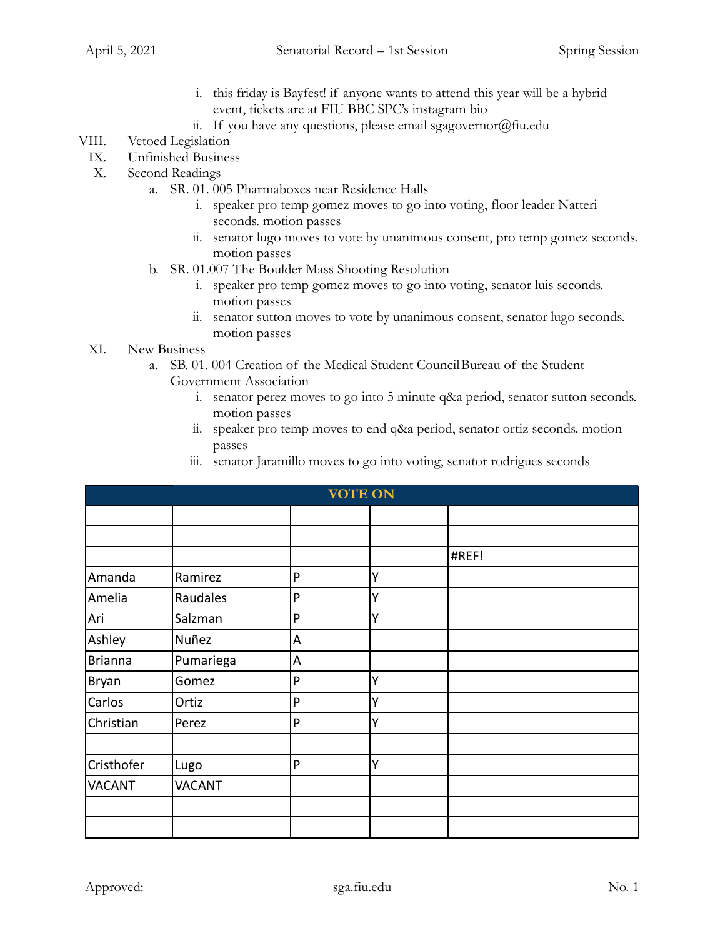- i. this friday is Bayfest! if anyone wants to attend this year will be a hybrid event, tickets are at FIU BBC SPC's instagram bio
- ii. If you have any questions, please email sgagovernor $(\partial)$ fiu.edu

## VIII. Vetoed Legislation

- IX. Unfinished Business
- X. Second Readings
	- a. SR. 01. 005 Pharmaboxes near Residence Halls
		- i. speaker pro temp gomez moves to go into voting, floor leader Natteri seconds. motion passes
		- ii. senator lugo moves to vote by unanimous consent, pro temp gomez seconds. motion passes
	- b. SR. 01.007 The Boulder Mass Shooting Resolution
		- i. speaker pro temp gomez moves to go into voting, senator luis seconds. motion passes
		- ii. senator sutton moves to vote by unanimous consent, senator lugo seconds. motion passes
- XI. New Business
	- a. SB. 01. 004 Creation of the Medical Student CouncilBureau of the Student Government Association
		- i. senator perez moves to go into 5 minute q&a period, senator sutton seconds. motion passes
		- ii. speaker pro temp moves to end q&a period, senator ortiz seconds. motion passes
		- iii. senator Jaramillo moves to go into voting, senator rodrigues seconds

|                | <b>VOTE ON</b> |           |   |       |  |  |
|----------------|----------------|-----------|---|-------|--|--|
|                |                |           |   |       |  |  |
|                |                |           |   |       |  |  |
|                |                |           |   | #REF! |  |  |
| Amanda         | Ramirez        | P         | Y |       |  |  |
| Amelia         | Raudales       | P         | Ý |       |  |  |
| Ari            | Salzman        | P         | Y |       |  |  |
| Ashley         | Nuñez          | A         |   |       |  |  |
| <b>Brianna</b> | Pumariega      | A         |   |       |  |  |
| Bryan          | Gomez          | P         | Y |       |  |  |
| Carlos         | Ortiz          | ${\sf P}$ | Y |       |  |  |
| Christian      | Perez          | P         | Y |       |  |  |
|                |                |           |   |       |  |  |
| Cristhofer     | Lugo           | P         | Ý |       |  |  |
| <b>VACANT</b>  | <b>VACANT</b>  |           |   |       |  |  |
|                |                |           |   |       |  |  |
|                |                |           |   |       |  |  |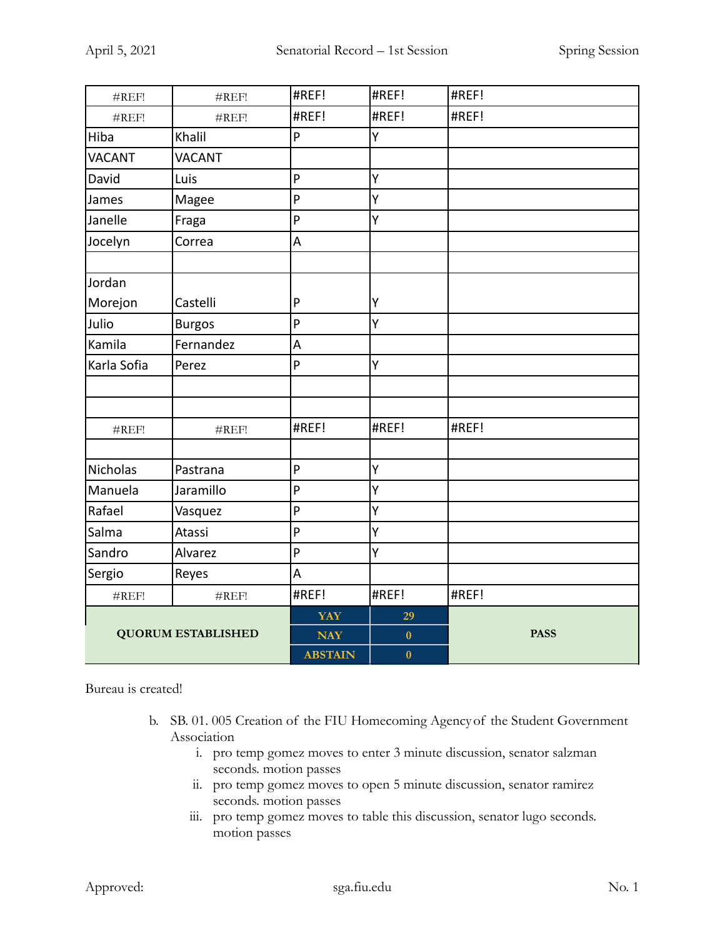| #REF!             | #REF!                     | #REF!          | #REF!    | #REF!       |
|-------------------|---------------------------|----------------|----------|-------------|
| #REF!             | #REF!                     | #REF!          | #REF!    | #REF!       |
| Hiba              | Khalil                    | P              | Υ        |             |
| <b>VACANT</b>     | <b>VACANT</b>             |                |          |             |
| David             | Luis                      | P              | Y        |             |
| James             | Magee                     | P              | Υ        |             |
| Janelle           | Fraga                     | P              | Υ        |             |
| Jocelyn           | Correa                    | A              |          |             |
|                   |                           |                |          |             |
| Jordan            |                           |                |          |             |
| Morejon           | Castelli                  | P              | Y        |             |
| Julio             | <b>Burgos</b>             | P              | Ÿ        |             |
| Kamila            | Fernandez                 | A              |          |             |
| Karla Sofia       | Perez                     | $\mathsf{P}$   | Ÿ        |             |
|                   |                           |                |          |             |
|                   |                           |                |          |             |
| $\#\mathrm{REF}!$ | #REF!                     | #REF!          | #REF!    | #REF!       |
|                   |                           |                |          |             |
| Nicholas          | Pastrana                  | P              | Υ        |             |
| Manuela           | Jaramillo                 | $\mathsf{P}$   | Y        |             |
| Rafael            | Vasquez                   | P              | Υ        |             |
| Salma             | Atassi                    | P              | Υ        |             |
| Sandro            | Alvarez                   | $\mathsf{P}$   | Υ        |             |
| Sergio            | Reyes                     | A              |          |             |
| #REF!             | #REF!                     | #REF!          | #REF!    | #REF!       |
|                   |                           | <b>YAY</b>     | 29       |             |
|                   | <b>QUORUM ESTABLISHED</b> | <b>NAY</b>     | $\bf{0}$ | <b>PASS</b> |
|                   |                           | <b>ABSTAIN</b> | $\bf{0}$ |             |

Bureau is created!

- b. SB. 01. 005 Creation of the FIU Homecoming Agencyof the Student Government Association
	- i. pro temp gomez moves to enter 3 minute discussion, senator salzman seconds. motion passes
	- ii. pro temp gomez moves to open 5 minute discussion, senator ramirez seconds. motion passes
	- iii. pro temp gomez moves to table this discussion, senator lugo seconds. motion passes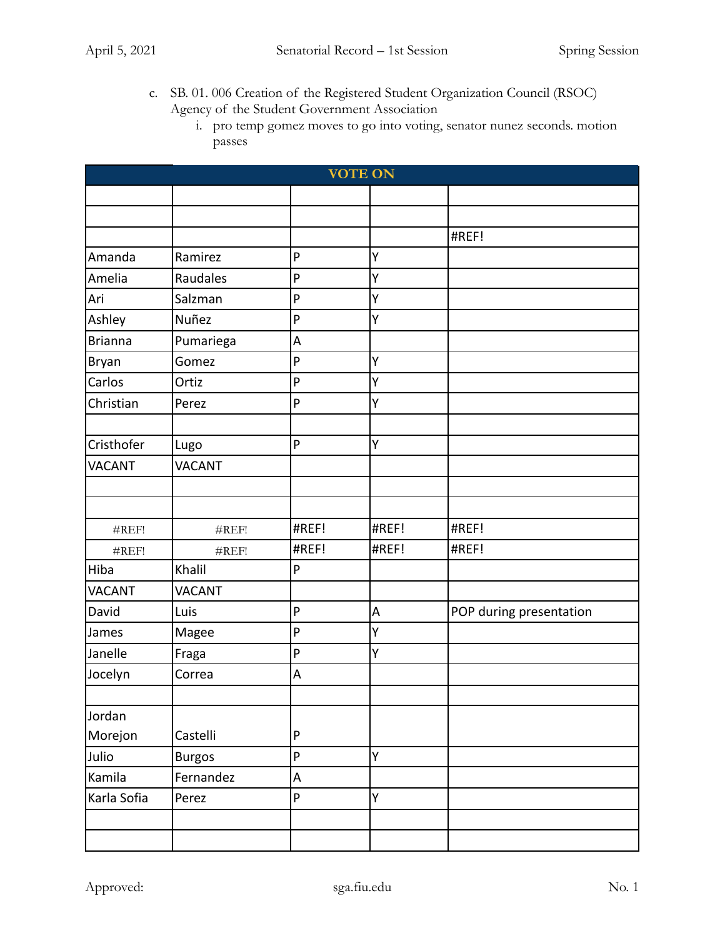- c. SB. 01. 006 Creation of the Registered Student Organization Council (RSOC) Agency of the Student Government Association
	- i. pro temp gomez moves to go into voting, senator nunez seconds. motion passes

| <b>VOTE ON</b> |               |              |       |                         |
|----------------|---------------|--------------|-------|-------------------------|
|                |               |              |       |                         |
|                |               |              |       |                         |
|                |               |              |       | #REF!                   |
| Amanda         | Ramirez       | P            | Υ     |                         |
| Amelia         | Raudales      | P            | Y     |                         |
| Ari            | Salzman       | P            | Y     |                         |
| Ashley         | Nuñez         | P            | Υ     |                         |
| <b>Brianna</b> | Pumariega     | A            |       |                         |
| Bryan          | Gomez         | P            | Υ     |                         |
| Carlos         | Ortiz         | P            | Υ     |                         |
| Christian      | Perez         | $\mathsf{P}$ | Y     |                         |
|                |               |              |       |                         |
| Cristhofer     | Lugo          | P            | Y     |                         |
| <b>VACANT</b>  | <b>VACANT</b> |              |       |                         |
|                |               |              |       |                         |
|                |               |              |       |                         |
| #REF!          | #REF!         | #REF!        | #REF! | #REF!                   |
| #REF!          | #REF!         | #REF!        | #REF! | #REF!                   |
| Hiba           | Khalil        | ${\sf P}$    |       |                         |
| <b>VACANT</b>  | <b>VACANT</b> |              |       |                         |
| David          | Luis          | P            | A     | POP during presentation |
| James          | Magee         | P            | Υ     |                         |
| Janelle        | Fraga         | P            | Υ     |                         |
| Jocelyn        | Correa        | A            |       |                         |
|                |               |              |       |                         |
| Jordan         |               |              |       |                         |
| Morejon        | Castelli      | $\mathsf{P}$ |       |                         |
| Julio          | <b>Burgos</b> | P            | Y     |                         |
| Kamila         | Fernandez     | A            |       |                         |
| Karla Sofia    | Perez         | $\mathsf{P}$ | Y     |                         |
|                |               |              |       |                         |
|                |               |              |       |                         |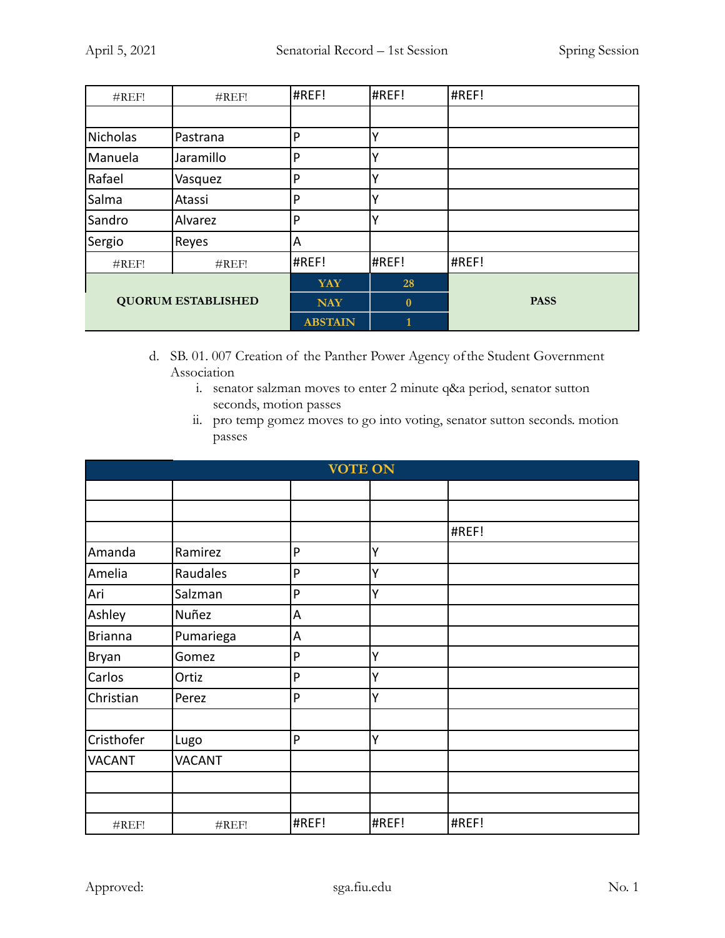| #REF!                     | #REF!     | #REF!          | #REF!    | #REF!       |
|---------------------------|-----------|----------------|----------|-------------|
|                           |           |                |          |             |
| Nicholas                  | Pastrana  | P              |          |             |
| Manuela                   | Jaramillo | P              |          |             |
| Rafael                    | Vasquez   | P              |          |             |
| Salma                     | Atassi    | P              |          |             |
| Sandro                    | Alvarez   | P              |          |             |
| Sergio                    | Reyes     | A              |          |             |
| #REF!                     | #REF!     | #REF!          | #REF!    | #REF!       |
|                           |           | <b>YAY</b>     | 28       |             |
| <b>QUORUM ESTABLISHED</b> |           | <b>NAY</b>     | $\bf{0}$ | <b>PASS</b> |
|                           |           | <b>ABSTAIN</b> |          |             |

- d. SB. 01. 007 Creation of the Panther Power Agency ofthe Student Government Association
	- i. senator salzman moves to enter 2 minute q&a period, senator sutton seconds, motion passes
	- ii. pro temp gomez moves to go into voting, senator sutton seconds. motion passes

|                |               |           | <b>VOTE ON</b> |       |  |
|----------------|---------------|-----------|----------------|-------|--|
|                |               |           |                |       |  |
|                |               |           |                |       |  |
|                |               |           |                | #REF! |  |
| Amanda         | Ramirez       | P         | Y              |       |  |
| Amelia         | Raudales      | P         | Y              |       |  |
| Ari            | Salzman       | P         | Ý              |       |  |
| Ashley         | Nuñez         | A         |                |       |  |
| <b>Brianna</b> | Pumariega     | A         |                |       |  |
| Bryan          | Gomez         | P         | Υ              |       |  |
| Carlos         | Ortiz         | P         | Υ              |       |  |
| Christian      | Perez         | ${\sf P}$ | Υ              |       |  |
|                |               |           |                |       |  |
| Cristhofer     | Lugo          | P         | Ý              |       |  |
| <b>VACANT</b>  | <b>VACANT</b> |           |                |       |  |
|                |               |           |                |       |  |
|                |               |           |                |       |  |
| #REF!          | #REF!         | #REF!     | #REF!          | #REF! |  |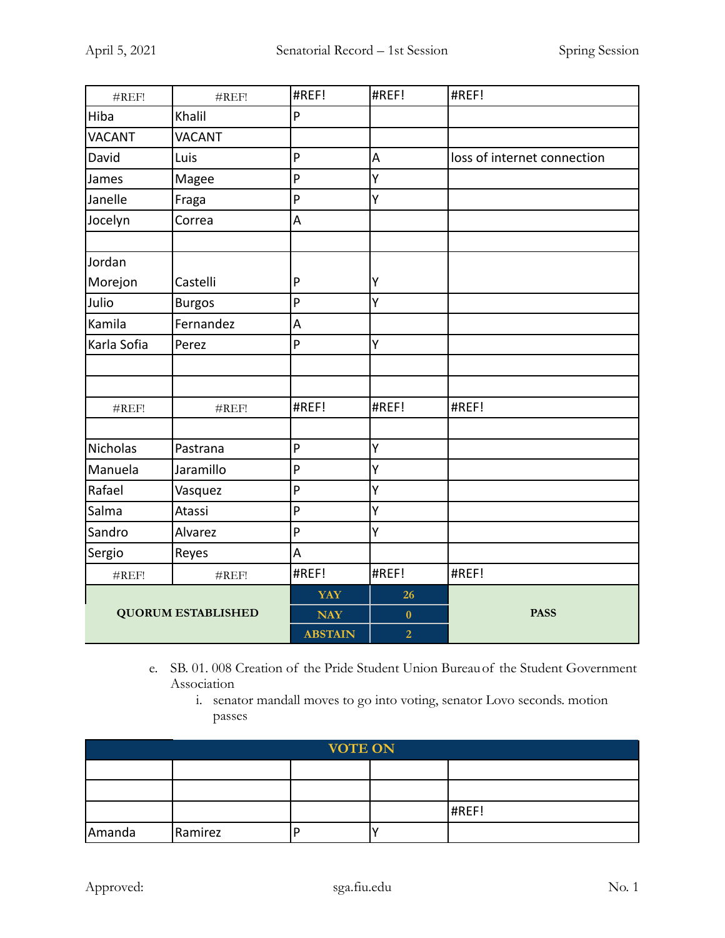| #REF!                     | #REF!         | #REF!          | #REF!          | #REF!                       |
|---------------------------|---------------|----------------|----------------|-----------------------------|
| Hiba                      | Khalil        | P              |                |                             |
| VACANT                    | <b>VACANT</b> |                |                |                             |
| David                     | Luis          | P              | A              | loss of internet connection |
| James                     | Magee         | P              | Υ              |                             |
| Janelle                   | Fraga         | P              | Ÿ              |                             |
| Jocelyn                   | Correa        | A              |                |                             |
|                           |               |                |                |                             |
| Jordan                    |               |                |                |                             |
| Morejon                   | Castelli      | P              | Y              |                             |
| Julio                     | <b>Burgos</b> | P              | Y              |                             |
| Kamila                    | Fernandez     | A              |                |                             |
| Karla Sofia               | Perez         | P              | Υ              |                             |
|                           |               |                |                |                             |
|                           |               |                |                |                             |
| #REF!                     | #REF!         | #REF!          | #REF!          | #REF!                       |
|                           |               |                |                |                             |
| Nicholas                  | Pastrana      | P              | Y              |                             |
| Manuela                   | Jaramillo     | P              | Υ              |                             |
| Rafael                    | Vasquez       | P              | Υ              |                             |
| Salma                     | Atassi        | P              | Υ              |                             |
| Sandro                    | Alvarez       | P              | Υ              |                             |
| Sergio                    | Reyes         | A              |                |                             |
| #REF!                     | #REF!         | #REF!          | #REF!          | #REF!                       |
|                           |               | <b>YAY</b>     | 26             |                             |
| <b>QUORUM ESTABLISHED</b> |               | <b>NAY</b>     | $\bf{0}$       | <b>PASS</b>                 |
|                           |               | <b>ABSTAIN</b> | $\overline{2}$ |                             |

- e. SB. 01. 008 Creation of the Pride Student Union Bureau of the Student Government Association
	- i. senator mandall moves to go into voting, senator Lovo seconds. motion passes

| <b>VOTE ON</b> |         |  |  |       |  |
|----------------|---------|--|--|-------|--|
|                |         |  |  |       |  |
|                |         |  |  |       |  |
|                |         |  |  | #REF! |  |
| Amanda         | Ramirez |  |  |       |  |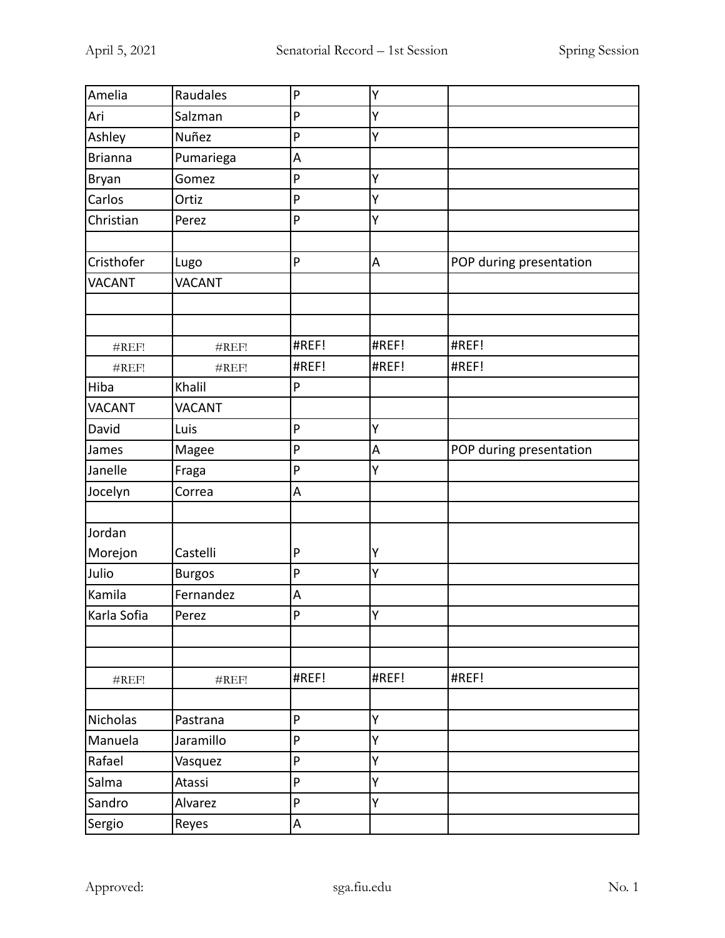| Amelia        | Raudales      | P     | Υ     |                         |
|---------------|---------------|-------|-------|-------------------------|
| Ari           | Salzman       | P     | Υ     |                         |
| Ashley        | Nuñez         | P     | Υ     |                         |
| Brianna       | Pumariega     | A     |       |                         |
| Bryan         | Gomez         | P     | Υ     |                         |
| Carlos        | Ortiz         | P     | Y     |                         |
| Christian     | Perez         | P     | Υ     |                         |
|               |               |       |       |                         |
| Cristhofer    | Lugo          | P     | A     | POP during presentation |
| VACANT        | <b>VACANT</b> |       |       |                         |
|               |               |       |       |                         |
|               |               |       |       |                         |
| #REF!         | #REF!         | #REF! | #REF! | #REF!                   |
| #REF!         | #REF!         | #REF! | #REF! | #REF!                   |
| Hiba          | Khalil        | P     |       |                         |
| <b>VACANT</b> | <b>VACANT</b> |       |       |                         |
| David         | Luis          | P     | Υ     |                         |
| James         | Magee         | P     | A     | POP during presentation |
| Janelle       | Fraga         | P     | Y     |                         |
| Jocelyn       | Correa        | A     |       |                         |
|               |               |       |       |                         |
| Jordan        |               |       |       |                         |
| Morejon       | Castelli      | P     | Υ     |                         |
| Julio         | <b>Burgos</b> | P     | Υ     |                         |
| Kamila        | Fernandez     | A     |       |                         |
| Karla Sofia   | Perez         | P     | ΙY.   |                         |
|               |               |       |       |                         |
|               |               |       |       |                         |
| #REF!         | #REF!         | #REF! | #REF! | #REF!                   |
|               |               |       |       |                         |
| Nicholas      | Pastrana      | P     | Υ     |                         |
| Manuela       | Jaramillo     | P     | Υ     |                         |
| Rafael        | Vasquez       | P     | Υ     |                         |
| Salma         | Atassi        | P     | Υ     |                         |
| Sandro        | Alvarez       | P     | Υ     |                         |
| Sergio        | Reyes         | A     |       |                         |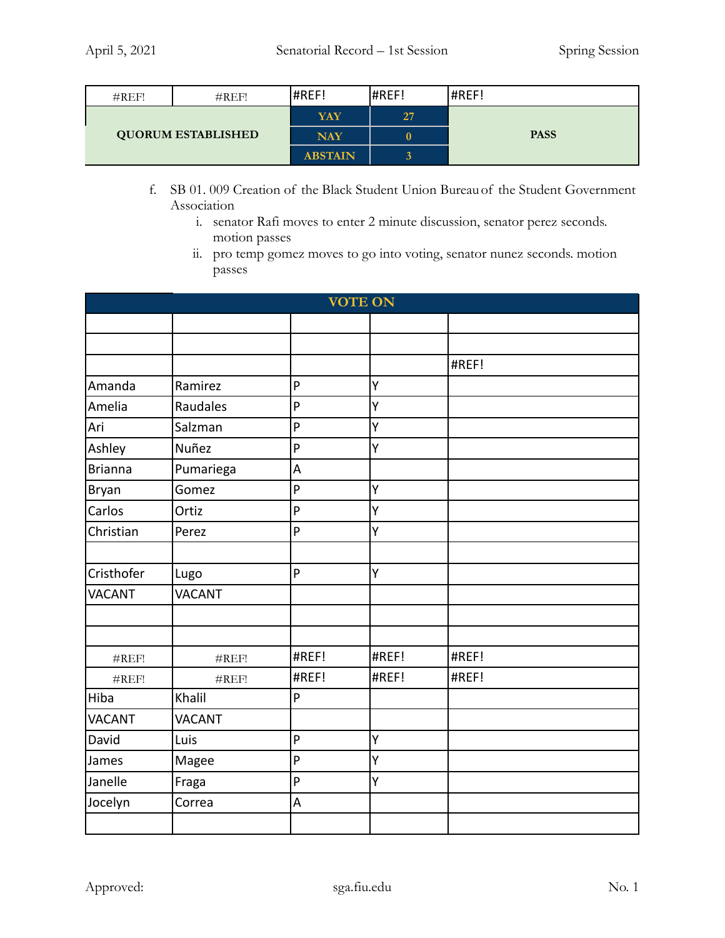| #REF!                     | $\#REF!$ | #REF!          | #REF!          | #REF!       |
|---------------------------|----------|----------------|----------------|-------------|
| <b>QUORUM ESTABLISHED</b> |          | YAY            | 27             |             |
|                           |          | <b>NAY</b>     | $\bf{0}$       | <b>PASS</b> |
|                           |          | <b>ABSTAIN</b> | $\overline{3}$ |             |

- f. SB 01. 009 Creation of the Black Student Union Bureauof the Student Government Association
	- i. senator Rafi moves to enter 2 minute discussion, senator perez seconds. motion passes
	- ii. pro temp gomez moves to go into voting, senator nunez seconds. motion passes

|                | <b>VOTE ON</b> |                           |       |       |  |
|----------------|----------------|---------------------------|-------|-------|--|
|                |                |                           |       |       |  |
|                |                |                           |       |       |  |
|                |                |                           |       | #REF! |  |
| Amanda         | Ramirez        | P                         | Y     |       |  |
| Amelia         | Raudales       | P                         | Y     |       |  |
| Ari            | Salzman        | P                         | Υ     |       |  |
| Ashley         | Nuñez          | P                         | Y     |       |  |
| <b>Brianna</b> | Pumariega      | A                         |       |       |  |
| <b>Bryan</b>   | Gomez          | P                         | Υ     |       |  |
| Carlos         | Ortiz          | P                         | Y     |       |  |
| Christian      | Perez          | P                         | Ý     |       |  |
|                |                |                           |       |       |  |
| Cristhofer     | Lugo           | P                         | Υ     |       |  |
| <b>VACANT</b>  | <b>VACANT</b>  |                           |       |       |  |
|                |                |                           |       |       |  |
|                |                |                           |       |       |  |
| #REF!          | #REF!          | #REF!                     | #REF! | #REF! |  |
| #REF!          | #REF!          | #REF!                     | #REF! | #REF! |  |
| Hiba           | Khalil         | P                         |       |       |  |
| <b>VACANT</b>  | <b>VACANT</b>  |                           |       |       |  |
| David          | Luis           | P                         | Y     |       |  |
| James          | Magee          | P                         | Υ     |       |  |
| Janelle        | Fraga          | $\boldsymbol{\mathsf{P}}$ | Y     |       |  |
| Jocelyn        | Correa         | A                         |       |       |  |
|                |                |                           |       |       |  |